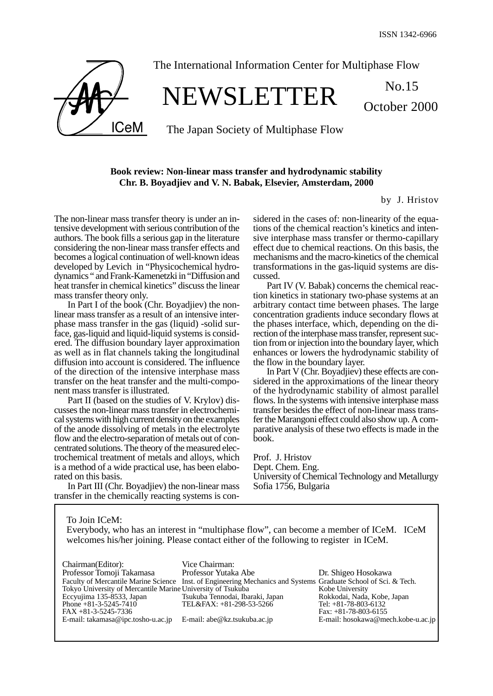October 2000



## The International Information Center for Multiphase Flow

# NEWSLETTER No.15

The Japan Society of Multiphase Flow

### **Book review: Non-linear mass transfer and hydrodynamic stability Chr. B. Boyadjiev and V. N. Babak, Elsevier, Amsterdam, 2000**

by J. Hristov

The non-linear mass transfer theory is under an intensive development with serious contribution of the authors. The book fills a serious gap in the literature considering the non-linear mass transfer effects and becomes a logical continuation of well-known ideas developed by Levich in "Physicochemical hydrodynamics " and Frank-Kamenetzki in "Diffusion and heat transfer in chemical kinetics" discuss the linear mass transfer theory only.

In Part I of the book (Chr. Boyadjiev) the nonlinear mass transfer as a result of an intensive interphase mass transfer in the gas (liquid) -solid surface, gas-liquid and liquid-liquid systems is considered. The diffusion boundary layer approximation as well as in flat channels taking the longitudinal diffusion into account is considered. The influence of the direction of the intensive interphase mass transfer on the heat transfer and the multi-component mass transfer is illustrated.

Part II (based on the studies of V. Krylov) discusses the non-linear mass transfer in electrochemical systems with high current density on the examples of the anode dissolving of metals in the electrolyte flow and the electro-separation of metals out of concentrated solutions. The theory of the measured electrochemical treatment of metals and alloys, which is a method of a wide practical use, has been elaborated on this basis.

In Part III (Chr. Boyadjiev) the non-linear mass transfer in the chemically reacting systems is considered in the cases of: non-linearity of the equations of the chemical reaction's kinetics and intensive interphase mass transfer or thermo-capillary effect due to chemical reactions. On this basis, the mechanisms and the macro-kinetics of the chemical transformations in the gas-liquid systems are discussed.

Part IV (V. Babak) concerns the chemical reaction kinetics in stationary two-phase systems at an arbitrary contact time between phases. The large concentration gradients induce secondary flows at the phases interface, which, depending on the direction of the interphase mass transfer, represent suction from or injection into the boundary layer, which enhances or lowers the hydrodynamic stability of the flow in the boundary layer.

In Part V (Chr. Boyadjiev) these effects are considered in the approximations of the linear theory of the hydrodynamic stability of almost parallel flows. In the systems with intensive interphase mass transfer besides the effect of non-linear mass transfer the Marangoni effect could also show up. A comparative analysis of these two effects is made in the book.

Prof. J. Hristov Dept. Chem. Eng. University of Chemical Technology and Metallurgy Sofia 1756, Bulgaria

To Join ICeM: Everybody, who has an interest in "multiphase flow", can become a member of ICeM. ICeM welcomes his/her joining. Please contact either of the following to register in ICeM.

| Chairman(Editor):                                               | Vice Chairman:                                                                                                  |                                    |
|-----------------------------------------------------------------|-----------------------------------------------------------------------------------------------------------------|------------------------------------|
| Professor Tomoji Takamasa                                       | Professor Yutaka Abe                                                                                            | Dr. Shigeo Hosokawa                |
|                                                                 | Faculty of Mercantile Marine Science Inst. of Engineering Mechanics and Systems Graduate School of Sci. & Tech. |                                    |
| Tokyo University of Mercantile Marine University of Tsukuba     |                                                                                                                 | Kobe University                    |
| Eccyujima 135-8533, Japan                                       | Tsukuba Tennodai, Ibaraki, Japan                                                                                | Rokkodai, Nada, Kobe, Japan        |
| Phone $+81-3-5245-7410$                                         | TEL&FAX: +81-298-53-5266                                                                                        | Tel: $+81-78-803-6132$             |
| $FAX + 81 - 3 - 5245 - 7336$                                    |                                                                                                                 | Fax: $+81-78-803-6155$             |
| E-mail: takamasa@ipc.tosho-u.ac.jp E-mail: abe@kz.tsukuba.ac.jp |                                                                                                                 | E-mail: hosokawa@mech.kobe-u.ac.jp |
|                                                                 |                                                                                                                 |                                    |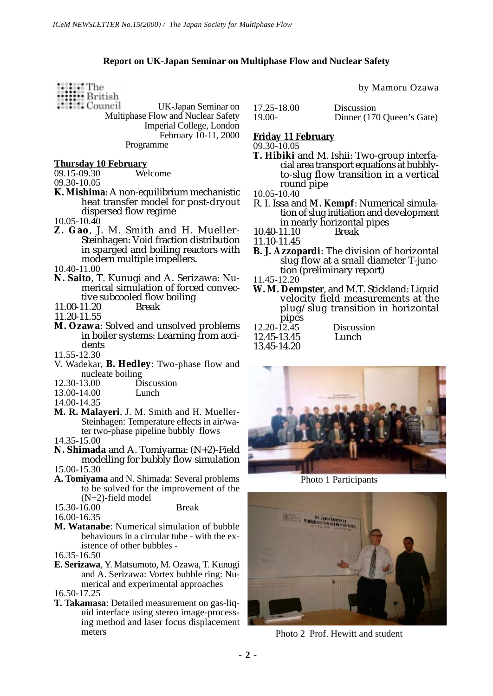#### **Report on UK-Japan Seminar on Multiphase Flow and Nuclear Safety**

- ::::::: The<br>::::::: British<br>::::::: Council
	- UK-Japan Seminar on Multiphase Flow and Nuclear Safety Imperial College, London February 10-11, 2000 Programme

- **Thursday 10 February**  $09.15 - 09.30$
- 09.30-10.05
- **K. Mishima**: A non-equilibrium mechanistic heat transfer model for post-dryout dispersed flow regime
- $10.05 10.40$
- **Z. Gao**, J. M. Smith and H. Mueller-Steinhagen: Void fraction distribution in sparged and boiling reactors with modern multiple impellers.
- 10.40-11.00
- **N. Saito**, T. Kunugi and A. Serizawa: Numerical simulation of forced convective subcooled flow boiling<br>11.20 Break
- $11.00 11.20$
- 11.20-11.55
- **M. Ozawa**: Solved and unsolved problems in boiler systems: Learning from accidents
- 11.55-12.30
- V. Wadekar, **B. Hedley**: Two-phase flow and nucleate boiling<br> $12.30-13.00$  D
- Discussion<br>Lunch
- $13.00 14.00$
- 14.00-14.35
- **M. R. Malayeri**, J. M. Smith and H. Mueller-Steinhagen: Temperature effects in air/water two-phase pipeline bubbly flows
- 14.35-15.00
- **N. Shimada** and A. Tomiyama: (N+2)-Field modelling for bubbly flow simulation 15.00-15.30
- **A. Tomiyama** and N. Shimada: Several problems to be solved for the improvement of the (N+2)-field model
- 15.30-16.00 Break
- 16.00-16.35
- **M. Watanabe**: Numerical simulation of bubble behaviours in a circular tube - with the existence of other bubbles -
- 16.35-16.50
- **E. Serizawa**, Y. Matsumoto, M. Ozawa, T. Kunugi and A. Serizawa: Vortex bubble ring: Numerical and experimental approaches

16.50-17.25

**T. Takamasa**: Detailed measurement on gas-liquid interface using stereo image-processing method and laser focus displacement meters

by Mamoru Ozawa

17.25-18.00 Discussion<br>19.00- Dinner (17 Dinner (170 Queen's Gate)

#### **Friday 11 February**

09.30-10.05

**T. Hibiki** and M. Ishii: Two-group interfacial area transport equations at bubblyto-slug flow transition in a vertical round pipe

10.05-10.40

- R. I. Issa and **M. Kempf**: Numerical simulation of slug initiation and development in nearly horizontal pipes
- $10.40 11.10$

11.10-11.45

- **B. J. Azzopardi**: The division of horizontal slug flow at a small diameter T-junction (preliminary report)
- 11.45-12.20
- **W. M. Dempster**, and M.T. Stickland: Liquid velocity field measurements at the plug/slug transition in horizontal pipes
- $12.20 \hat{12.45}$  Discussion<br>12.45-13.45 Lunch 12.45-13.45
	-
	- 13.45-14.20





Photo 1 Participants



Photo 2 Prof. Hewitt and student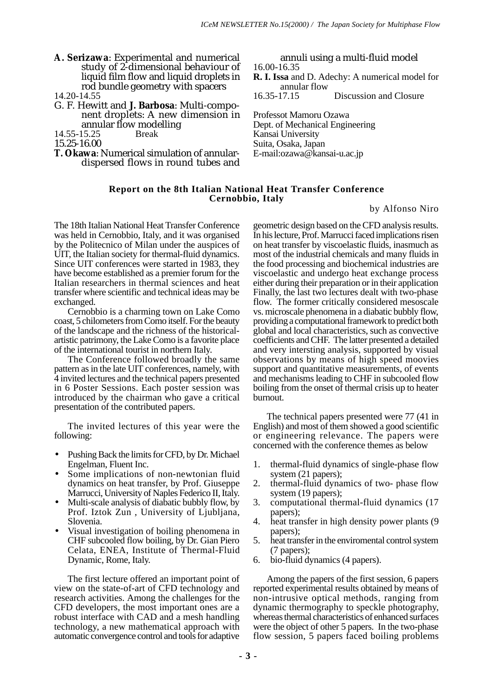- **A. Serizawa**: Experimental and numerical study of 2-dimensional behaviour of liquid film flow and liquid droplets in rod bundle geometry with spacers
- 14.20-14.55
- G. F. Hewitt and **J. Barbosa**: Multi-component droplets: A new dimension in annular flow modelling<br>15.25 Break
- 14.55-15.25

15.25-16.00

**T. Okawa**: Numerical simulation of annulardispersed flows in round tubes and

annuli using a multi-fluid model 16.00-16.35 **R. I. Issa** and D. Adechy: A numerical model for annular flow<br> $16.35 - 17.15$ 

Discussion and Closure

Professot Mamoru Ozawa Dept. of Mechanical Engineering Kansai University Suita, Osaka, Japan E-mail:ozawa@kansai-u.ac.jp

### **Report on the 8th Italian National Heat Transfer Conference Cernobbio, Italy**

by Alfonso Niro

The 18th Italian National Heat Transfer Conference was held in Cernobbio, Italy, and it was organised by the Politecnico of Milan under the auspices of UIT, the Italian society for thermal-fluid dynamics. Since UIT conferences were started in 1983, they have become established as a premier forum for the Italian researchers in thermal sciences and heat transfer where scientific and technical ideas may be exchanged.

Cernobbio is a charming town on Lake Como coast, 5 chilometers from Como itself. For the beauty of the landscape and the richness of the historicalartistic patrimony, the Lake Como is a favorite place of the international tourist in northern Italy.

The Conference followed broadly the same pattern as in the late UIT conferences, namely, with 4 invited lectures and the technical papers presented in 6 Poster Sessions. Each poster session was introduced by the chairman who gave a critical presentation of the contributed papers.

The invited lectures of this year were the following:

- Pushing Back the limits for CFD, by Dr. Michael Engelman, Fluent Inc.
- Some implications of non-newtonian fluid dynamics on heat transfer, by Prof. Giuseppe Marrucci, University of Naples Federico II, Italy.
- Multi-scale analysis of diabatic bubbly flow, by Prof. Iztok Zun , University of Ljubljana, Slovenia.
- Visual investigation of boiling phenomena in CHF subcooled flow boiling, by Dr. Gian Piero Celata, ENEA, Institute of Thermal-Fluid Dynamic, Rome, Italy.

The first lecture offered an important point of view on the state-of-art of CFD technology and research activities. Among the challenges for the CFD developers, the most important ones are a robust interface with CAD and a mesh handling technology, a new mathematical approach with automatic convergence control and tools for adaptive

geometric design based on the CFD analysis results. In his lecture, Prof. Marrucci faced implications risen on heat transfer by viscoelastic fluids, inasmuch as most of the industrial chemicals and many fluids in the food processing and biochemical industries are viscoelastic and undergo heat exchange process either during their preparation or in their application Finally, the last two lectures dealt with two-phase flow. The former critically considered mesoscale vs. microscale phenomena in a diabatic bubbly flow, providing a computational framework to predict both global and local characteristics, such as convective coefficients and CHF. The latter presented a detailed and very intersting analysis, supported by visual observations by means of high speed moovies support and quantitative measurements, of events and mechanisms leading to CHF in subcooled flow boiling from the onset of thermal crisis up to heater burnout.

The technical papers presented were 77 (41 in English) and most of them showed a good scientific or engineering relevance. The papers were concerned with the conference themes as below

- 1. thermal-fluid dynamics of single-phase flow system (21 papers);
- 2. thermal-fluid dynamics of two- phase flow system (19 papers);
- 3. computational thermal-fluid dynamics (17 papers);
- 4. heat transfer in high density power plants (9 papers);
- 5. heat transfer in the enviromental control system (7 papers);
- 6. bio-fluid dynamics (4 papers).

Among the papers of the first session, 6 papers reported experimental results obtained by means of non-intrusive optical methods, ranging from dynamic thermography to speckle photography, whereas thermal characteristics of enhanced surfaces were the object of other 5 papers. In the two-phase flow session, 5 papers faced boiling problems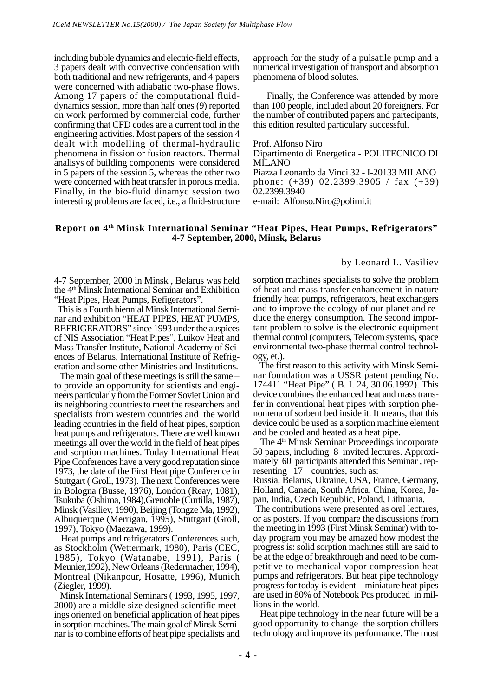including bubble dynamics and electric-field effects, 3 papers dealt with convective condensation with both traditional and new refrigerants, and 4 papers were concerned with adiabatic two-phase flows. Among 17 papers of the computational fluiddynamics session, more than half ones (9) reported on work performed by commercial code, further confirming that CFD codes are a current tool in the engineering activities. Most papers of the session 4 dealt with modelling of thermal-hydraulic phenomena in fission or fusion reactors. Thermal analisys of building components were considered in 5 papers of the session 5, whereas the other two were concerned with heat transfer in porous media. Finally, in the bio-fluid dinamyc session two interesting problems are faced, i.e., a fluid-structure approach for the study of a pulsatile pump and a numerical investigation of transport and absorption phenomena of blood solutes.

Finally, the Conference was attended by more than 100 people, included about 20 foreigners. For the number of contributed papers and partecipants, this edition resulted particulary successful.

Prof. Alfonso Niro Dipartimento di Energetica - POLITECNICO DI MILANO Piazza Leonardo da Vinci 32 - I-20133 MILANO phone: (+39) 02.2399.3905 / fax (+39) 02.2399.3940 e-mail: Alfonso.Niro@polimi.it

#### **Report on 4th Minsk International Seminar "Heat Pipes, Heat Pumps, Refrigerators" 4-7 September, 2000, Minsk, Belarus**

by Leonard L. Vasiliev

4-7 September, 2000 in Minsk , Belarus was held the 4th Minsk International Seminar and Exhibition "Heat Pipes, Heat Pumps, Refigerators".

 This is a Fourth biennial Minsk International Seminar and exhibition "HEAT PIPES, HEAT PUMPS, REFRIGERATORS" since 1993 under the auspices of NIS Association "Heat Pipes", Luikov Heat and Mass Transfer Institute, National Academy of Sciences of Belarus, International Institute of Refrigeration and some other Ministries and Institutions.

 The main goal of these meetings is still the same – to provide an opportunity for scientists and engineers particularly from the Former Soviet Union and its neighboring countries to meet the researchers and specialists from western countries and the world leading countries in the field of heat pipes, sorption heat pumps and refrigerators. There are well known meetings all over the world in the field of heat pipes and sorption machines. Today International Heat Pipe Conferences have a very good reputation since 1973, the date of the First Heat pipe Conference in Stuttgart ( Groll, 1973). The next Conferences were in Bologna (Busse, 1976), London (Reay, 1081), Tsukuba (Oshima, 1984),Grenoble (Curtilla, 1987), Minsk (Vasiliev, 1990), Beijing (Tongze Ma, 1992), Albuquerque (Merrigan, 1995), Stuttgart (Groll, 1997), Tokyo (Maezawa, 1999).

 Heat pumps and refrigerators Conferences such, as Stockholm (Wettermark, 1980), Paris (CEC, 1985), Tokyo (Watanabe, 1991), Paris ( Meunier,1992), New Orleans (Redermacher, 1994), Montreal (Nikanpour, Hosatte, 1996), Munich (Ziegler, 1999).

 Minsk International Seminars ( 1993, 1995, 1997, 2000) are a middle size designed scientific meetings oriented on beneficial application of heat pipes in sorption machines. The main goal of Minsk Seminar is to combine efforts of heat pipe specialists and sorption machines specialists to solve the problem of heat and mass transfer enhancement in nature friendly heat pumps, refrigerators, heat exchangers and to improve the ecology of our planet and reduce the energy consumption. The second important problem to solve is the electronic equipment thermal control (computers, Telecom systems, space environmental two-phase thermal control technology, et.).

 The first reason to this activity with Minsk Seminar foundation was a USSR patent pending No. 174411 "Heat Pipe" ( B. I. 24, 30.06.1992). This device combines the enhanced heat and mass transfer in conventional heat pipes with sorption phenomena of sorbent bed inside it. It means, that this device could be used as a sorption machine element and be cooled and heated as a heat pipe.

The 4<sup>th</sup> Minsk Seminar Proceedings incorporate 50 papers, including 8 invited lectures. Approximately 60 participants attended this Seminar , representing 17 countries, such as:

Russia, Belarus, Ukraine, USA, France, Germany, Holland, Canada, South Africa, China, Korea, Japan, India, Czech Republic, Poland, Lithuania.

 The contributions were presented as oral lectures, or as posters. If you compare the discussions from the meeting in 1993 (First Minsk Seminar) with today program you may be amazed how modest the progress is: solid sorption machines still are said to be at the edge of breakthrough and need to be competitive to mechanical vapor compression heat pumps and refrigerators. But heat pipe technology progress for today is evident - miniature heat pipes are used in 80% of Notebook Pcs produced in millions in the world.

 Heat pipe technology in the near future will be a good opportunity to change the sorption chillers technology and improve its performance. The most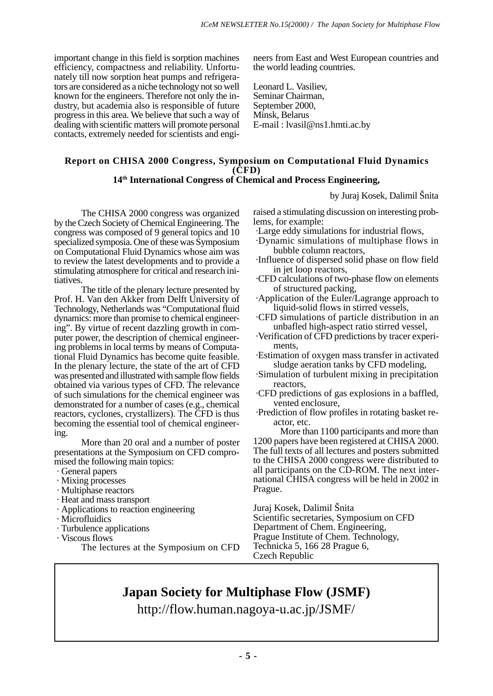important change in this field is sorption machines efficiency, compactness and reliability. Unfortunately till now sorption heat pumps and refrigerators are considered as a niche technology not so well known for the engineers. Therefore not only the industry, but academia also is responsible of future progress in this area. We believe that such a way of dealing with scientific matters will promote personal contacts, extremely needed for scientists and engineers from East and West European countries and the world leading countries.

Leonard L. Vasiliev, Seminar Chairman, September 2000, Minsk, Belarus E-mail : lvasil@ns1.hmti.ac.by

## **Report on CHISA 2000 Congress, Symposium on Computational Fluid Dynamics (CFD)**

## **14th International Congress of Chemical and Process Engineering,**

by Juraj Kosek, Dalimil Šnita

The CHISA 2000 congress was organized by the Czech Society of Chemical Engineering. The congress was composed of 9 general topics and 10 specialized symposia. One of these was Symposium on Computational Fluid Dynamics whose aim was to review the latest developments and to provide a stimulating atmosphere for critical and research initiatives.

The title of the plenary lecture presented by Prof. H. Van den Akker from Delft University of Technology, Netherlands was "Computational fluid dynamics: more than promise to chemical engineering". By virtue of recent dazzling growth in computer power, the description of chemical engineering problems in local terms by means of Computational Fluid Dynamics has become quite feasible. In the plenary lecture, the state of the art of CFD was presented and illustrated with sample flow fields obtained via various types of CFD. The relevance of such simulations for the chemical engineer was demonstrated for a number of cases (e.g., chemical reactors, cyclones, crystallizers). The CFD is thus becoming the essential tool of chemical engineering.

More than 20 oral and a number of poster presentations at the Symposium on CFD compromised the following main topics:

- · General papers
- · Mixing processes
- · Multiphase reactors
- · Heat and mass transport
- · Applications to reaction engineering
- · Microfluidics
- · Turbulence applications
- · Viscous flows
	- The lectures at the Symposium on CFD

raised a stimulating discussion on interesting problems, for example:

- ·Large eddy simulations for industrial flows,
- ·Dynamic simulations of multiphase flows in bubble column reactors,
- ·Influence of dispersed solid phase on flow field in jet loop reactors,
- ·CFD calculations of two-phase flow on elements of structured packing,
- ·Application of the Euler/Lagrange approach to liquid-solid flows in stirred vessels,

·CFD simulations of particle distribution in an unbafled high-aspect ratio stirred vessel,

- ·Verification of CFD predictions by tracer experiments,
- ·Estimation of oxygen mass transfer in activated sludge aeration tanks by CFD modeling,
- ·Simulation of turbulent mixing in precipitation reactors,
- ·CFD predictions of gas explosions in a baffled, vented enclosure,
- ·Prediction of flow profiles in rotating basket reactor, etc.

More than 1100 participants and more than 1200 papers have been registered at CHISA 2000. The full texts of all lectures and posters submitted to the CHISA 2000 congress were distributed to all participants on the CD-ROM. The next international CHISA congress will be held in 2002 in Prague.

Juraj Kosek, Dalimil Šnita Scientific secretaries, Symposium on CFD Department of Chem. Engineering, Prague Institute of Chem. Technology, Technicka 5, 166 28 Prague 6, Czech Republic

## **Japan Society for Multiphase Flow (JSMF)**

http://flow.human.nagoya-u.ac.jp/JSMF/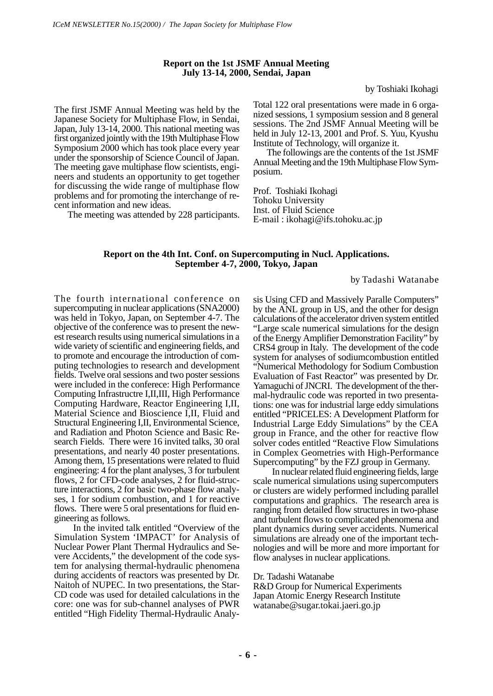#### **Report on the 1st JSMF Annual Meeting July 13-14, 2000, Sendai, Japan**

by Toshiaki Ikohagi

The first JSMF Annual Meeting was held by the Japanese Society for Multiphase Flow, in Sendai, Japan, July 13-14, 2000. This national meeting was first organized jointly with the 19th Multiphase Flow Symposium 2000 which has took place every year under the sponsorship of Science Council of Japan. The meeting gave multiphase flow scientists, engineers and students an opportunity to get together for discussing the wide range of multiphase flow problems and for promoting the interchange of recent information and new ideas.

The meeting was attended by 228 participants.

Total 122 oral presentations were made in 6 organized sessions, 1 symposium session and 8 general sessions. The 2nd JSMF Annual Meeting will be held in July 12-13, 2001 and Prof. S. Yuu, Kyushu Institute of Technology, will organize it.

The followings are the contents of the 1st JSMF Annual Meeting and the 19th Multiphase Flow Symposium.

Prof. Toshiaki Ikohagi Tohoku University Inst. of Fluid Science E-mail : ikohagi@ifs.tohoku.ac.jp

#### **Report on the 4th Int. Conf. on Supercomputing in Nucl. Applications. September 4-7, 2000, Tokyo, Japan**

by Tadashi Watanabe

The fourth international conference on supercomputing in nuclear applications (SNA2000) was held in Tokyo, Japan, on September 4-7. The objective of the conference was to present the newest research results using numerical simulations in a wide variety of scientific and engineering fields, and to promote and encourage the introduction of computing technologies to research and development fields. Twelve oral sessions and two poster sessions were included in the conferece: High Performance Computing Infrastructre I,II,III, High Performance Computing Hardware, Reactor Engineering I,II, Material Science and Bioscience I,II, Fluid and Structural Engineering I,II, Environmental Science, and Radiation and Photon Science and Basic Research Fields. There were 16 invited talks, 30 oral presentations, and nearly 40 poster presentations. Among them, 15 presentations were related to fluid engineering: 4 for the plant analyses, 3 for turbulent flows, 2 for CFD-code analyses, 2 for fluid-structure interactions, 2 for basic two-phase flow analyses, 1 for sodium combustion, and 1 for reactive flows. There were 5 oral presentations for fluid engineering as follows.

In the invited talk entitled "Overview of the Simulation System 'IMPACT' for Analysis of Nuclear Power Plant Thermal Hydraulics and Severe Accidents," the development of the code system for analysing thermal-hydraulic phenomena during accidents of reactors was presented by Dr. Naitoh of NUPEC. In two presentations, the Star-CD code was used for detailed calculations in the core: one was for sub-channel analyses of PWR entitled "High Fidelity Thermal-Hydraulic Analysis Using CFD and Massively Paralle Computers" by the ANL group in US, and the other for design calculations of the accelerator driven system entitled "Large scale numerical simulations for the design of the Energy Amplifier Demonstration Facility" by CRS4 group in Italy. The development of the code system for analyses of sodiumcombustion entitled "Numerical Methodology for Sodium Combustion Evaluation of Fast Reactor" was presented by Dr. Yamaguchi of JNCRI. The development of the thermal-hydraulic code was reported in two presentations: one was for industrial large eddy simulations entitled "PRICELES: A Development Platform for Industrial Large Eddy Simulations" by the CEA group in France, and the other for reactive flow solver codes entitled "Reactive Flow Simulations in Complex Geometries with High-Performance Supercomputing" by the FZJ group in Germany.

In nuclear related fluid engineering fields, large scale numerical simulations using supercomputers or clusters are widely performed including parallel computations and graphics. The research area is ranging from detailed flow structures in two-phase and turbulent flows to complicated phenomena and plant dynamics during sever accidents. Numerical simulations are already one of the important technologies and will be more and more important for flow analyses in nuclear applications.

#### Dr. Tadashi Watanabe

R&D Group for Numerical Experiments Japan Atomic Energy Research Institute watanabe@sugar.tokai.jaeri.go.jp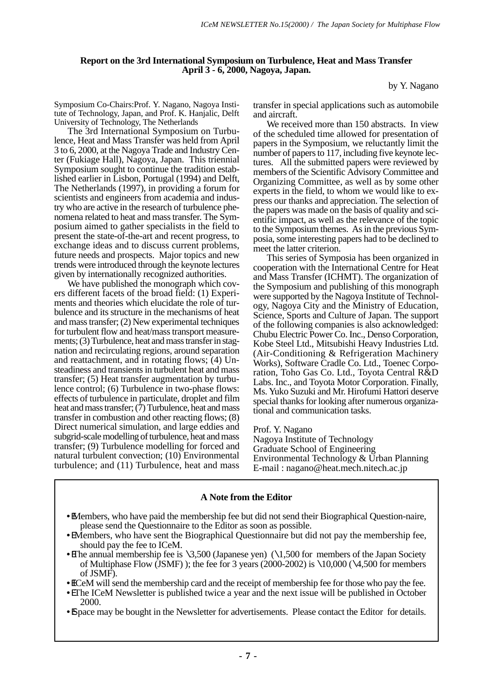#### **Report on the 3rd International Symposium on Turbulence, Heat and Mass Transfer April 3 - 6, 2000, Nagoya, Japan.**

by Y. Nagano

Symposium Co-Chairs:Prof. Y. Nagano, Nagoya Institute of Technology, Japan, and Prof. K. Hanjalic, Delft University of Technology, The Netherlands

The 3rd International Symposium on Turbulence, Heat and Mass Transfer was held from April 3 to 6, 2000, at the Nagoya Trade and Industry Center (Fukiage Hall), Nagoya, Japan. This triennial Symposium sought to continue the tradition established earlier in Lisbon, Portugal (1994) and Delft, The Netherlands (1997), in providing a forum for scientists and engineers from academia and industry who are active in the research of turbulence phenomena related to heat and mass transfer. The Symposium aimed to gather specialists in the field to present the state-of-the-art and recent progress, to exchange ideas and to discuss current problems, future needs and prospects. Major topics and new trends were introduced through the keynote lectures given by internationally recognized authorities.

We have published the monograph which covers different facets of the broad field: (1) Experiments and theories which elucidate the role of turbulence and its structure in the mechanisms of heat and mass transfer; (2) New experimental techniques for turbulent flow and heat/mass transport measurements; (3) Turbulence, heat and mass transfer in stagnation and recirculating regions, around separation and reattachment, and in rotating flows; (4) Unsteadiness and transients in turbulent heat and mass transfer; (5) Heat transfer augmentation by turbulence control; (6) Turbulence in two-phase flows: effects of turbulence in particulate, droplet and film heat and mass transfer;  $(7)$  Turbulence, heat and mass transfer in combustion and other reacting flows; (8) Direct numerical simulation, and large eddies and subgrid-scale modelling of turbulence, heat and mass transfer; (9) Turbulence modelling for forced and natural turbulent convection; (10) Environmental turbulence; and (11) Turbulence, heat and mass

transfer in special applications such as automobile and aircraft.

We received more than 150 abstracts. In view of the scheduled time allowed for presentation of papers in the Symposium, we reluctantly limit the number of papers to 117, including five keynote lectures. All the submitted papers were reviewed by members of the Scientific Advisory Committee and Organizing Committee, as well as by some other experts in the field, to whom we would like to express our thanks and appreciation. The selection of the papers was made on the basis of quality and scientific impact, as well as the relevance of the topic to the Symposium themes. As in the previous Symposia, some interesting papers had to be declined to meet the latter criterion.

This series of Symposia has been organized in cooperation with the International Centre for Heat and Mass Transfer (ICHMT). The organization of the Symposium and publishing of this monograph were supported by the Nagoya Institute of Technology, Nagoya City and the Ministry of Education, Science, Sports and Culture of Japan. The support of the following companies is also acknowledged: Chubu Electric Power Co. Inc., Denso Corporation, Kobe Steel Ltd., Mitsubishi Heavy Industries Ltd. (Air-Conditioning & Refrigeration Machinery Works), Software Cradle Co. Ltd., Toenec Corporation, Toho Gas Co. Ltd., Toyota Central R&D Labs. Inc., and Toyota Motor Corporation. Finally, Ms. Yuko Suzuki and Mr. Hirofumi Hattori deserve special thanks for looking after numerous organizational and communication tasks.

Prof. Y. Nagano Nagoya Institute of Technology Graduate School of Engineering Environmental Technology & Urban Planning E-mail : nagano@heat.mech.nitech.ac.jp

## **A Note from the Editor**

- •EMembers, who have paid the membership fee but did not send their Biographical Question-naire, please send the Questionnaire to the Editor as soon as possible.
- •EMembers, who have sent the Biographical Questionnaire but did not pay the membership fee, should pay the fee to ICeM.
- The annual membership fee is  $\3,500$  (Japanese yen) ( $\1,500$  for members of the Japan Society of Multiphase Flow (JSMF)); the fee for 3 years (2000-2002) is  $\10,000$  ( $\4,500$  for members of JSMF).

• ICeM will send the membership card and the receipt of membership fee for those who pay the fee.

- •EThe ICeM Newsletter is published twice a year and the next issue will be published in October 2000.
- B pace may be bought in the Newsletter for advertisements. Please contact the Editor for details.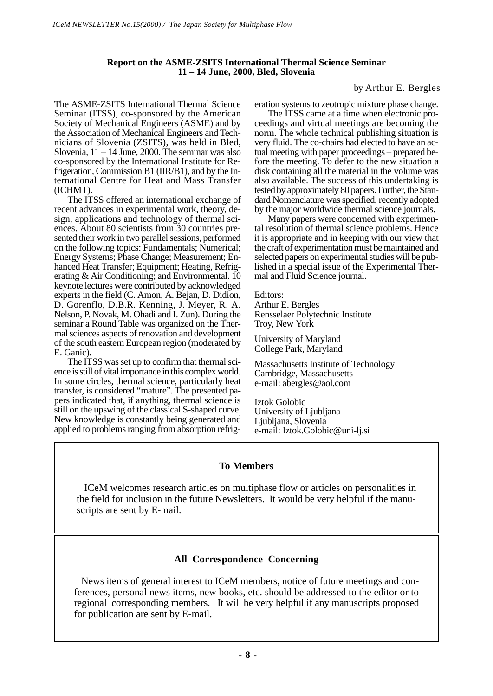### **Report on the ASME-ZSITS International Thermal Science Seminar 11 – 14 June, 2000, Bled, Slovenia**

by Arthur E. Bergles

The ASME-ZSITS International Thermal Science Seminar (ITSS), co-sponsored by the American Society of Mechanical Engineers (ASME) and by the Association of Mechanical Engineers and Technicians of Slovenia (ZSITS), was held in Bled, Slovenia,  $11 - 14$  June, 2000. The seminar was also co-sponsored by the International Institute for Refrigeration, Commission B1 (IIR/B1), and by the International Centre for Heat and Mass Transfer (ICHMT).

The ITSS offered an international exchange of recent advances in experimental work, theory, design, applications and technology of thermal sciences. About 80 scientists from 30 countries presented their work in two parallel sessions, performed on the following topics: Fundamentals; Numerical; Energy Systems; Phase Change; Measurement; Enhanced Heat Transfer; Equipment; Heating, Refrigerating & Air Conditioning; and Environmental. 10 keynote lectures were contributed by acknowledged experts in the field (C. Amon, A. Bejan, D. Didion, D. Gorenflo, D.B.R. Kenning, J. Meyer, R. A. Nelson, P. Novak, M. Ohadi and I. Zun). During the seminar a Round Table was organized on the Thermal sciences aspects of renovation and development of the south eastern European region (moderated by E. Ganic).

The ITSS was set up to confirm that thermal science is still of vital importance in this complex world. In some circles, thermal science, particularly heat transfer, is considered "mature". The presented papers indicated that, if anything, thermal science is still on the upswing of the classical S-shaped curve. New knowledge is constantly being generated and applied to problems ranging from absorption refrigeration systems to zeotropic mixture phase change.

The ITSS came at a time when electronic proceedings and virtual meetings are becoming the norm. The whole technical publishing situation is very fluid. The co-chairs had elected to have an actual meeting with paper proceedings – prepared before the meeting. To defer to the new situation a disk containing all the material in the volume was also available. The success of this undertaking is tested by approximately 80 papers. Further, the Standard Nomenclature was specified, recently adopted by the major worldwide thermal science journals.

Many papers were concerned with experimental resolution of thermal science problems. Hence it is appropriate and in keeping with our view that the craft of experimentation must be maintained and selected papers on experimental studies will be published in a special issue of the Experimental Thermal and Fluid Science journal.

Editors:

Arthur E. Bergles Rensselaer Polytechnic Institute Troy, New York

University of Maryland College Park, Maryland

Massachusetts Institute of Technology Cambridge, Massachusetts e-mail: abergles@aol.com

Iztok Golobic University of Ljubljana Ljubljana, Slovenia e-mail: Iztok.Golobic@uni-lj.si

## **To Members**

 ICeM welcomes research articles on multiphase flow or articles on personalities in the field for inclusion in the future Newsletters. It would be very helpful if the manuscripts are sent by E-mail.

## **All Correspondence Concerning**

 News items of general interest to ICeM members, notice of future meetings and conferences, personal news items, new books, etc. should be addressed to the editor or to regional corresponding members. It will be very helpful if any manuscripts proposed for publication are sent by E-mail.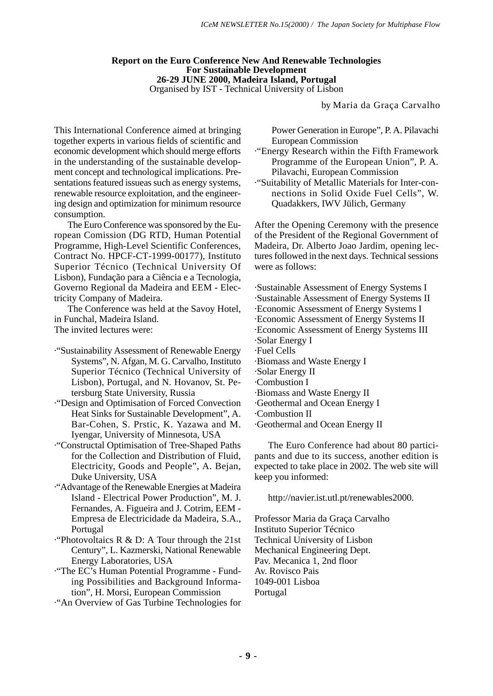#### **Report on the Euro Conference New And Renewable Technologies For Sustainable Development 26-29 JUNE 2000, Madeira Island, Portugal** Organised by IST - Technical University of Lisbon

by Maria da Graça Carvalho

This International Conference aimed at bringing together experts in various fields of scientific and economic development which should merge efforts in the understanding of the sustainable development concept and technological implications. Presentations featured issueas such as energy systems, renewable resource exploitation, and the engineering design and optimization for minimum resource consumption.

The Euro Conference was sponsored by the European Comission (DG RTD, Human Potential Programme, High-Level Scientific Conferences, Contract No. HPCF-CT-1999-00177), Instituto Superior Técnico (Technical University Of Lisbon), Fundação para a Ciência e a Tecnologia, Governo Regional da Madeira and EEM - Electricity Company of Madeira.

The Conference was held at the Savoy Hotel, in Funchal, Madeira Island. The invited lectures were:

·"Sustainability Assessment of Renewable Energy Systems", N. Afgan, M. G. Carvalho, Instituto Superior Técnico (Technical University of

Lisbon), Portugal, and N. Hovanov, St. Petersburg State University, Russia ·"Design and Optimisation of Forced Convection

- Heat Sinks for Sustainable Development", A. Bar-Cohen, S. Prstic, K. Yazawa and M. Iyengar, University of Minnesota, USA
- ·"Constructal Optimisation of Tree-Shaped Paths for the Collection and Distribution of Fluid, Electricity, Goods and People", A. Bejan, Duke University, USA
- ·"Advantage of the Renewable Energies at Madeira Island - Electrical Power Production", M. J. Fernandes, A. Figueira and J. Cotrim, EEM - Empresa de Electricidade da Madeira, S.A., Portugal
- ·"Photovoltaics R & D: A Tour through the 21st Century", L. Kazmerski, National Renewable Energy Laboratories, USA
- ·"The EC's Human Potential Programme Funding Possibilities and Background Information", H. Morsi, European Commission
- ·"An Overview of Gas Turbine Technologies for

Power Generation in Europe", P. A. Pilavachi European Commission

- ·"Energy Research within the Fifth Framework Programme of the European Union", P. A. Pilavachi, European Commission
- ·"Suitability of Metallic Materials for Inter-connections in Solid Oxide Fuel Cells", W. Quadakkers, IWV Jülich, Germany

After the Opening Ceremony with the presence of the President of the Regional Government of Madeira, Dr. Alberto Joao Jardim, opening lectures followed in the next days. Technical sessions were as follows:

·Sustainable Assessment of Energy Systems I ·Sustainable Assessment of Energy Systems II ·Economic Assessment of Energy Systems I ·Economic Assessment of Energy Systems II ·Economic Assessment of Energy Systems III ·Solar Energy I ·Fuel Cells ·Biomass and Waste Energy I ·Solar Energy II ·Combustion I ·Biomass and Waste Energy II ·Geothermal and Ocean Energy I ·Combustion II

·Geothermal and Ocean Energy II

The Euro Conference had about 80 participants and due to its success, another edition is expected to take place in 2002. The web site will keep you informed:

http://navier.ist.utl.pt/renewables2000.

Professor Maria da Graça Carvalho Instituto Superior Técnico Technical University of Lisbon Mechanical Engineering Dept. Pav. Mecanica 1, 2nd floor Av. Rovisco Pais 1049-001 Lisboa Portugal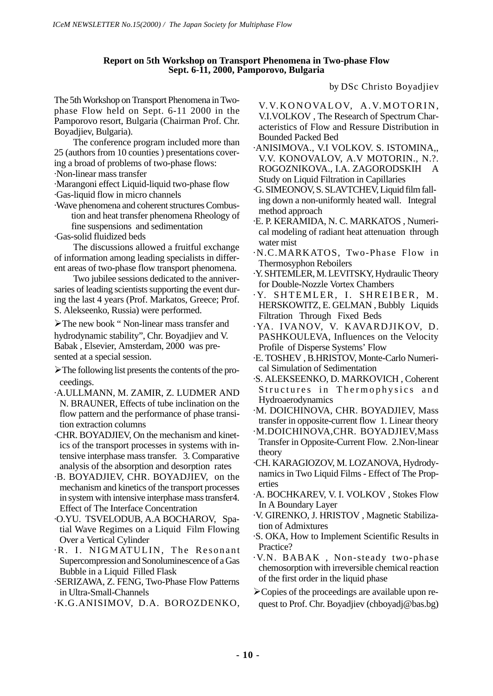### **Report on 5th Workshop on Transport Phenomena in Two-phase Flow Sept. 6-11, 2000, Pamporovo, Bulgaria**

The 5th Workshop on Transport Phenomena in Twophase Flow held on Sept. 6-11 2000 in the Pamporovo resort, Bulgaria (Chairman Prof. Chr. Boyadjiev, Bulgaria).

The conference program included more than 25 (authors from 10 counties ) presentations covering a broad of problems of two-phase flows:

·Non-linear mass transfer

·Marangoni effect Liquid-liquid two-phase flow

·Gas-liquid flow in micro channels

·Wave phenomena and coherent structures Combustion and heat transfer phenomena Rheology of fine suspensions and sedimentation

·Gas-solid fluidized beds

The discussions allowed a fruitful exchange of information among leading specialists in different areas of two-phase flow transport phenomena.

Two jubilee sessions dedicated to the anniversaries of leading scientists supporting the event during the last 4 years (Prof. Markatos, Greece; Prof. S. Alekseenko, Russia) were performed.

/The new book " Non-linear mass transfer and hydrodynamic stability", Chr. Boyadjiev and V. Babak , Elsevier, Amsterdam, 2000 was presented at a special session.

- /The following list presents the contents of the proceedings.
- ·A.ULLMANN, M. ZAMIR, Z. LUDMER AND N. BRAUNER, Effects of tube inclination on the flow pattern and the performance of phase transition extraction columns
- ·CHR. BOYADJIEV, On the mechanism and kinetics of the transport processes in systems with intensive interphase mass transfer. 3. Comparative analysis of the absorption and desorption rates
- ·B. BOYADJIEV, CHR. BOYADJIEV, on the mechanism and kinetics of the transport processes in system with intensive interphase mass transfer4. Effect of The Interface Concentration
- ·O.YU. TSVELODUB, A.A BOCHAROV, Spatial Wave Regimes on a Liquid Film Flowing Over a Vertical Cylinder
- ·R. I. NIGMATULIN, The Resonant Supercompression and Sonoluminescence of a Gas Bubble in a Liquid Filled Flask
- ·SERIZAWA, Z. FENG, Two-Phase Flow Patterns in Ultra-Small-Channels
- ·K.G.ANISIMOV, D.A. BOROZDENKO,

by DSc Christo Boyadjiev

- V. V. KONOVALOV, A. V. MOTORIN, V.I.VOLKOV , The Research of Spectrum Characteristics of Flow and Ressure Distribution in Bounded Packed Bed
- ·ANISIMOVA., V.I VOLKOV. S. ISTOMINA,, V.V. KONOVALOV, A.V MOTORIN., N.?. ROGOZNIKOVA., I.A. ZAGORODSKIH A Study on Liquid Filtration in Capillaries
- ·G. SIMEONOV, S. SLAVTCHEV, Liquid film falling down a non-uniformly heated wall. Integral method approach
- ·E. P. KERAMIDA, N. C. MARKATOS , Numerical modeling of radiant heat attenuation through water mist
- ·N.C.MARKATOS, Two-Phase Flow in Thermosyphon Reboilers
- ·Y. SHTEMLER, M. LEVITSKY, Hydraulic Theory for Double-Nozzle Vortex Chambers
- · Y. SHTEMLER, I. SHREIBER, M. HERSKOWITZ, E. GELMAN , Bubbly Liquids Filtration Through Fixed Beds
- ·YA. IVANOV, V. KAVARDJIKOV, D. PASHKOULEVA, Influences on the Velocity Profile of Disperse Systems' Flow
- ·E. TOSHEV , B.HRISTOV, Monte-Carlo Numerical Simulation of Sedimentation
- ·S. ALEKSEENKO, D. MARKOVICH , Coherent Structures in Thermophysics and Hydroaerodynamics
- ·M. DOICHINOVA, CHR. BOYADJIEV, Mass transfer in opposite-current flow 1. Linear theory
- ·M.DOICHINOVA,CHR. BOYADJIEV,Mass Transfer in Opposite-Current Flow. 2.Non-linear theory
- ·CH. KARAGIOZOV, M. LOZANOVA, Hydrodynamics in Two Liquid Films - Effect of The Properties
- ·A. BOCHKAREV, V. I. VOLKOV , Stokes Flow In A Boundary Layer
- ·V. GIRENKO, J. HRISTOV , Magnetic Stabilization of Admixtures
- ·S. OKA, How to Implement Scientific Results in Practice?
- ·V.N. BABAK , Non-steady two-phase chemosorption with irreversible chemical reaction of the first order in the liquid phase
- /Copies of the proceedings are available upon request to Prof. Chr. Boyadjiev (chboyadj@bas.bg)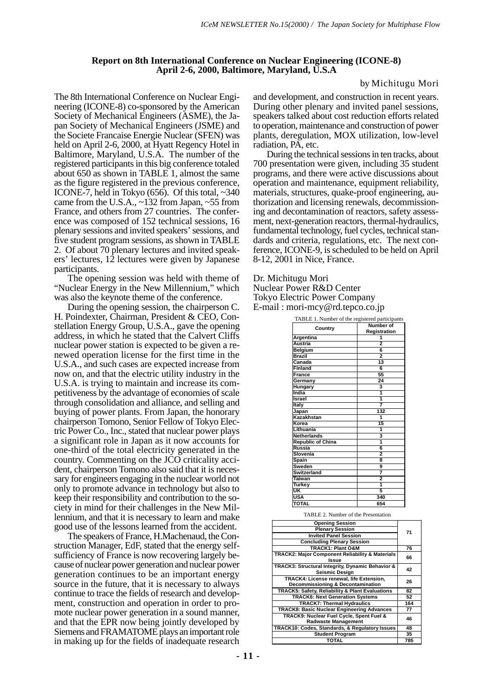#### **Report on 8th International Conference on Nuclear Engineering (ICONE-8) April 2-6, 2000, Baltimore, Maryland, U.S.A**

#### by Michitugu Mori

The 8th International Conference on Nuclear Engineering (ICONE-8) co-sponsored by the American Society of Mechanical Engineers (ASME), the Japan Society of Mechanical Engineers (JSME) and the Societe Francaise Energie Nuclear (SFEN) was held on April 2-6, 2000, at Hyatt Regency Hotel in Baltimore, Maryland, U.S.A. The number of the registered participants in this big conference totaled about 650 as shown in TABLE 1, almost the same as the figure registered in the previous conference, ICONE-7, held in Tokyo (656). Of this total, ~340 came from the U.S.A., ~132 from Japan, ~55 from France, and others from 27 countries. The conference was composed of 152 technical sessions, 16 plenary sessions and invited speakers' sessions, and five student program sessions, as shown in TABLE 2. Of about 70 plenary lectures and invited speakers' lectures, 12 lectures were given by Japanese participants.

The opening session was held with theme of "Nuclear Energy in the New Millennium," which was also the keynote theme of the conference.

During the opening session, the chairperson C. H. Poindexter, Chairman, President & CEO, Constellation Energy Group, U.S.A., gave the opening address, in which he stated that the Calvert Cliffs nuclear power station is expected to be given a renewed operation license for the first time in the U.S.A., and such cases are expected increase from now on, and that the electric utility industry in the U.S.A. is trying to maintain and increase its competitiveness by the advantage of economies of scale through consolidation and alliance, and selling and buying of power plants. From Japan, the honorary chairperson Tomono, Senior Fellow of Tokyo Electric Power Co., Inc., stated that nuclear power plays a significant role in Japan as it now accounts for one-third of the total electricity generated in the country. Commenting on the JCO criticality accident, chairperson Tomono also said that it is necessary for engineers engaging in the nuclear world not only to promote advance in technology but also to keep their responsibility and contribution to the society in mind for their challenges in the New Millennium, and that it is necessary to learn and make good use of the lessons learned from the accident.

The speakers of France, H.Machenaud, the Construction Manager, EdF, stated that the energy selfsufficiency of France is now recovering largely because of nuclear power generation and nuclear power generation continues to be an important energy source in the future, that it is necessary to always continue to trace the fields of research and development, construction and operation in order to promote nuclear power generation in a sound manner, and that the EPR now being jointly developed by Siemens and FRAMATOME plays an important role in making up for the fields of inadequate research

and development, and construction in recent years. During other plenary and invited panel sessions, speakers talked about cost reduction efforts related to operation, maintenance and construction of power plants, deregulation, MOX utilization, low-level radiation, PA, etc.

During the technical sessions in ten tracks, about 700 presentation were given, including 35 student programs, and there were active discussions about operation and maintenance, equipment reliability, materials, structures, quake-proof engineering, authorization and licensing renewals, decommissioning and decontamination of reactors, safety assessment, next-generation reactors, thermal-hydraulics, fundamental technology, fuel cycles, technical standards and criteria, regulations, etc. The next conference, ICONE-9, is scheduled to be held on April 8-12, 2001 in Nice, France.

Dr. Michitugu Mori Nuclear Power R&D Center Tokyo Electric Power Company E-mail : mori-mcy@rd.tepco.co.jp

| TABLE 1. Number of the registered participants |                |  |
|------------------------------------------------|----------------|--|
| Country                                        | Number of      |  |
|                                                | Registration   |  |
| Argentina                                      |                |  |
| Austria                                        | $\overline{a}$ |  |
| Belgium                                        | 6              |  |
| <b>Brazil</b>                                  | $\overline{2}$ |  |
| Canada                                         | 13             |  |
| Finland                                        | 6              |  |
| France                                         | 55             |  |
| Germany                                        | 24             |  |
| Hungary                                        | 3              |  |
| India                                          | 1              |  |
| Israel                                         | 1              |  |
| Italy                                          | 7              |  |
| <u>Japan</u>                                   | 132            |  |
| Kazakhstan                                     | 1              |  |
| Korea                                          | 15             |  |
| Lithuania                                      | 1              |  |
| Netherlands                                    | 3              |  |
| <b>Republic of China</b>                       | 1              |  |
| Russia                                         | 6              |  |
| Slovenia                                       | $\overline{2}$ |  |
| Spain                                          | 8              |  |
| Sweden                                         | 9              |  |
| <b>Switzerland</b>                             | 7              |  |
| Taiwan                                         | 2              |  |
| Turkey                                         | 1              |  |
| UK                                             | 5              |  |
| <b>USA</b>                                     | 340            |  |
| TOTAL                                          | 654            |  |
|                                                |                |  |

#### TABLE 2. Number of the Presentation

| <b>Opening Session</b>                                                    | 71  |  |
|---------------------------------------------------------------------------|-----|--|
| <b>Plenary Session</b>                                                    |     |  |
| <b>Invited Panel Session</b>                                              |     |  |
| <b>Concluding Plenary Session</b>                                         |     |  |
| TRACK1: Plant O&M                                                         | 76  |  |
| <b>TRACK2: Major Component Reliability &amp; Materials</b><br>Issue       | 66  |  |
| TRACK3: Structural Integrity, Dynamic Behavior &<br><b>Seismic Desian</b> | 42  |  |
| TRACK4: License renewal, life Extension,                                  | 26  |  |
| Decommissioning & Decontamination                                         |     |  |
| TRACK5: Safety, Reliability & Plant Evaluations                           | 82  |  |
| <b>TRACK6: Next Generation Systems</b>                                    | 52  |  |
| <b>TRACK7: Thermal Hydraulics</b>                                         | 164 |  |
| <b>TRACK8: Basic Nuclear Engineering Advances</b>                         | 77  |  |
| TRACK9: Nuclear Fuel Cycle, Spent Fuel &                                  | 46  |  |
| <b>Radwaste Management</b>                                                |     |  |
| TRACK10: Codes, Standards, & Regulatory Issues                            | 48  |  |
| <b>Student Program</b>                                                    | 35  |  |
| <b>TOTAL</b>                                                              | 785 |  |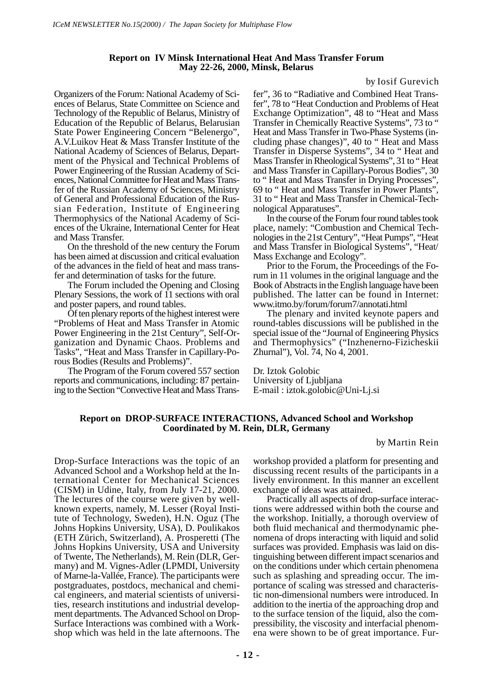#### **Report on IV Minsk International Heat And Mass Transfer Forum May 22-26, 2000, Minsk, Belarus**

#### by Iosif Gurevich

Organizers of the Forum: National Academy of Sciences of Belarus, State Committee on Science and Technology of the Republic of Belarus, Ministry of Education of the Republic of Belarus, Belarusian State Power Engineering Concern "Belenergo", A.V.Luikov Heat & Mass Transfer Institute of the National Academy of Sciences of Belarus, Department of the Physical and Technical Problems of Power Engineering of the Russian Academy of Sciences, National Committee for Heat and Mass Transfer of the Russian Academy of Sciences, Ministry of General and Professional Education of the Russian Federation, Institute of Engineering Thermophysics of the National Academy of Sciences of the Ukraine, International Center for Heat and Mass Transfer.

On the threshold of the new century the Forum has been aimed at discussion and critical evaluation of the advances in the field of heat and mass transfer and determination of tasks for the future.

The Forum included the Opening and Closing Plenary Sessions, the work of 11 sections with oral and poster papers, and round tables.

Of ten plenary reports of the highest interest were "Problems of Heat and Mass Transfer in Atomic Power Engineering in the 21st Century", Self-Organization and Dynamic Chaos. Problems and Tasks", "Heat and Mass Transfer in Capillary-Porous Bodies (Results and Problems)".

The Program of the Forum covered 557 section reports and communications, including: 87 pertaining to the Section "Convective Heat and Mass Transfer", 36 to "Radiative and Combined Heat Transfer", 78 to "Heat Conduction and Problems of Heat Exchange Optimization", 48 to "Heat and Mass Transfer in Chemically Reactive Systems", 73 to " Heat and Mass Transfer in Two-Phase Systems (including phase changes)", 40 to " Heat and Mass Transfer in Disperse Systems", 34 to " Heat and Mass Transfer in Rheological Systems", 31 to " Heat and Mass Transfer in Capillary-Porous Bodies", 30 to " Heat and Mass Transfer in Drying Processes", 69 to " Heat and Mass Transfer in Power Plants", 31 to " Heat and Mass Transfer in Chemical-Technological Apparatuses".

In the course of the Forum four round tables took place, namely: "Combustion and Chemical Technologies in the 21st Century", "Heat Pumps", "Heat and Mass Transfer in Biological Systems", "Heat/ Mass Exchange and Ecology".

Prior to the Forum, the Proceedings of the Forum in 11 volumes in the original language and the Book of Abstracts in the English language have been published. The latter can be found in Internet: www.itmo.by/forum/forum7/annotati.html

The plenary and invited keynote papers and round-tables discussions will be published in the special issue of the "Journal of Engineering Physics and Thermophysics" ("Inzhenerno-Fizicheskii Zhurnal"), Vol. 74, No 4, 2001.

Dr. Iztok Golobic University of Ljubljana E-mail : iztok.golobic@Uni-Lj.si

#### **Report on DROP-SURFACE INTERACTIONS, Advanced School and Workshop Coordinated by M. Rein, DLR, Germany**

by Martin Rein

Drop-Surface Interactions was the topic of an Advanced School and a Workshop held at the International Center for Mechanical Sciences (CISM) in Udine, Italy, from July 17-21, 2000. The lectures of the course were given by wellknown experts, namely, M. Lesser (Royal Institute of Technology, Sweden), H.N. Oguz (The Johns Hopkins University, USA), D. Poulikakos (ETH Zürich, Switzerland), A. Prosperetti (The Johns Hopkins University, USA and University of Twente, The Netherlands), M. Rein (DLR, Germany) and M. Vignes-Adler (LPMDI, University of Marne-la-Vallée, France). The participants were postgraduates, postdocs, mechanical and chemical engineers, and material scientists of universities, research institutions and industrial development departments. The Advanced School on Drop-Surface Interactions was combined with a Workshop which was held in the late afternoons. The

workshop provided a platform for presenting and discussing recent results of the participants in a lively environment. In this manner an excellent exchange of ideas was attained.

Practically all aspects of drop-surface interactions were addressed within both the course and the workshop. Initially, a thorough overview of both fluid mechanical and thermodynamic phenomena of drops interacting with liquid and solid surfaces was provided. Emphasis was laid on distinguishing between different impact scenarios and on the conditions under which certain phenomena such as splashing and spreading occur. The importance of scaling was stressed and characteristic non-dimensional numbers were introduced. In addition to the inertia of the approaching drop and to the surface tension of the liquid, also the compressibility, the viscosity and interfacial phenomena were shown to be of great importance. Fur-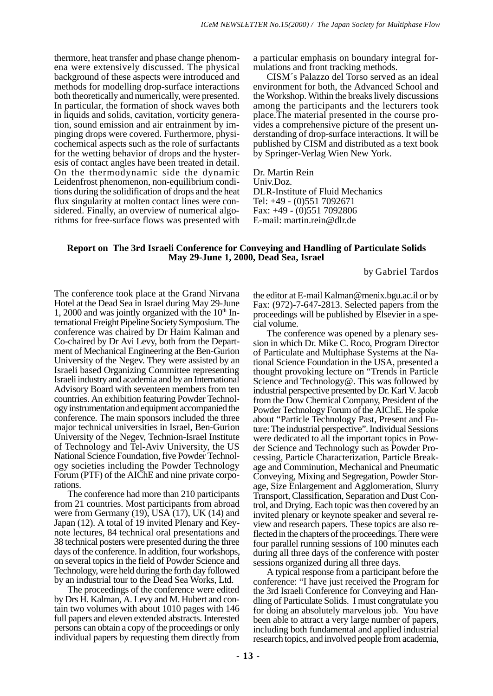thermore, heat transfer and phase change phenomena were extensively discussed. The physical background of these aspects were introduced and methods for modelling drop-surface interactions both theoretically and numerically, were presented. In particular, the formation of shock waves both in liquids and solids, cavitation, vorticity generation, sound emission and air entrainment by impinging drops were covered. Furthermore, physicochemical aspects such as the role of surfactants for the wetting behavior of drops and the hysteresis of contact angles have been treated in detail. On the thermodynamic side the dynamic Leidenfrost phenomenon, non-equilibrium conditions during the solidification of drops and the heat flux singularity at molten contact lines were considered. Finally, an overview of numerical algorithms for free-surface flows was presented with a particular emphasis on boundary integral formulations and front tracking methods.

CISM´s Palazzo del Torso served as an ideal environment for both, the Advanced School and the Workshop. Within the breaks lively discussions among the participants and the lecturers took place.The material presented in the course provides a comprehensive picture of the present understanding of drop-surface interactions. It will be published by CISM and distributed as a text book by Springer-Verlag Wien New York.

Dr. Martin Rein Univ.Doz. DLR-Institute of Fluid Mechanics Tel: +49 - (0)551 7092671 Fax: +49 - (0)551 7092806 E-mail: martin.rein@dlr.de

#### **Report on The 3rd Israeli Conference for Conveying and Handling of Particulate Solids May 29-June 1, 2000, Dead Sea, Israel**

by Gabriel Tardos

The conference took place at the Grand Nirvana Hotel at the Dead Sea in Israel during May 29-June 1, 2000 and was jointly organized with the  $10<sup>th</sup>$  International Freight Pipeline Society Symposium. The conference was chaired by Dr Haim Kalman and Co-chaired by Dr Avi Levy, both from the Department of Mechanical Engineering at the Ben-Gurion University of the Negev. They were assisted by an Israeli based Organizing Committee representing Israeli industry and academia and by an International Advisory Board with seventeen members from ten countries. An exhibition featuring Powder Technology instrumentation and equipment accompanied the conference. The main sponsors included the three major technical universities in Israel, Ben-Gurion University of the Negev, Technion-Israel Institute of Technology and Tel-Aviv University, the US National Science Foundation, five Powder Technology societies including the Powder Technology Forum (PTF) of the AIChE and nine private corporations.

The conference had more than 210 participants from 21 countries. Most participants from abroad were from Germany (19), USA  $(17)$ , UK (14) and Japan (12). A total of 19 invited Plenary and Keynote lectures, 84 technical oral presentations and 38 technical posters were presented during the three days of the conference. In addition, four workshops, on several topics in the field of Powder Science and Technology, were held during the forth day followed by an industrial tour to the Dead Sea Works, Ltd.

The proceedings of the conference were edited by Drs H. Kalman, A. Levy and M. Hubert and contain two volumes with about 1010 pages with 146 full papers and eleven extended abstracts. Interested persons can obtain a copy of the proceedings or only individual papers by requesting them directly from

the editor at E-mail Kalman@menix.bgu.ac.il or by Fax: (972)-7-647-2813. Selected papers from the proceedings will be published by Elsevier in a special volume.

The conference was opened by a plenary session in which Dr. Mike C. Roco, Program Director of Particulate and Multiphase Systems at the National Science Foundation in the USA, presented a thought provoking lecture on "Trends in Particle Science and Technology@. This was followed by industrial perspective presented by Dr. Karl V. Jacob from the Dow Chemical Company, President of the Powder Technology Forum of the AIChE. He spoke about "Particle Technology Past, Present and Future: The industrial perspective". Individual Sessions were dedicated to all the important topics in Powder Science and Technology such as Powder Processing, Particle Characterization, Particle Breakage and Comminution, Mechanical and Pneumatic Conveying, Mixing and Segregation, Powder Storage, Size Enlargement and Agglomeration, Slurry Transport, Classification, Separation and Dust Control, and Drying. Each topic was then covered by an invited plenary or keynote speaker and several review and research papers. These topics are also reflected in the chapters of the proceedings. There were four parallel running sessions of 100 minutes each during all three days of the conference with poster sessions organized during all three days.

A typical response from a participant before the conference: "I have just received the Program for the 3rd Israeli Conference for Conveying and Handling of Particulate Solids. I must congratulate you for doing an absolutely marvelous job. You have been able to attract a very large number of papers, including both fundamental and applied industrial research topics, and involved people from academia,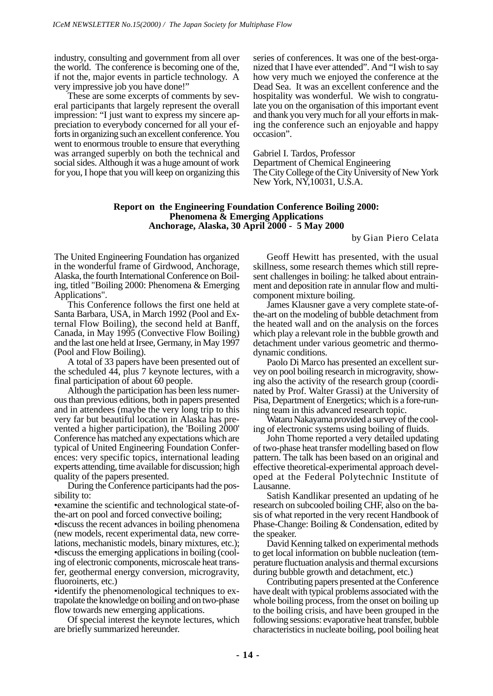industry, consulting and government from all over the world. The conference is becoming one of the, if not the, major events in particle technology. A very impressive job you have done!"

These are some excerpts of comments by several participants that largely represent the overall impression: "I just want to express my sincere appreciation to everybody concerned for all your efforts in organizing such an excellent conference. You went to enormous trouble to ensure that everything was arranged superbly on both the technical and social sides. Although it was a huge amount of work for you, I hope that you will keep on organizing this series of conferences. It was one of the best-organized that I have ever attended". And "I wish to say how very much we enjoyed the conference at the Dead Sea. It was an excellent conference and the hospitality was wonderful. We wish to congratulate you on the organisation of this important event and thank you very much for all your efforts in making the conference such an enjoyable and happy occasion".

Gabriel I. Tardos, Professor

Department of Chemical Engineering The City College of the City University of New York New York, NY,10031, U.S.A.

#### **Report on the Engineering Foundation Conference Boiling 2000: Phenomena & Emerging Applications Anchorage, Alaska, 30 April 2000 - 5 May 2000**

by Gian Piero Celata

The United Engineering Foundation has organized in the wonderful frame of Girdwood, Anchorage, Alaska, the fourth International Conference on Boiling, titled "Boiling 2000: Phenomena & Emerging Applications".

This Conference follows the first one held at Santa Barbara, USA, in March 1992 (Pool and External Flow Boiling), the second held at Banff, Canada, in May 1995 (Convective Flow Boiling) and the last one held at Irsee, Germany, in May 1997 (Pool and Flow Boiling).

A total of 33 papers have been presented out of the scheduled 44, plus 7 keynote lectures, with a final participation of about 60 people.

Although the participation has been less numerous than previous editions, both in papers presented and in attendees (maybe the very long trip to this very far but beautiful location in Alaska has prevented a higher participation), the 'Boiling 2000' Conference has matched any expectations which are typical of United Engineering Foundation Conferences: very specific topics, international leading experts attending, time available for discussion; high quality of the papers presented.

During the Conference participants had the possibility to:

•examine the scientific and technological state-ofthe-art on pool and forced convective boiling;

•discuss the recent advances in boiling phenomena (new models, recent experimental data, new correlations, mechanistic models, binary mixtures, etc.); •discuss the emerging applications in boiling (cooling of electronic components, microscale heat transfer, geothermal energy conversion, microgravity, fluoroinerts, etc.)

•identify the phenomenological techniques to extrapolate the knowledge on boiling and on two-phase flow towards new emerging applications.

Of special interest the keynote lectures, which are briefly summarized hereunder.

Geoff Hewitt has presented, with the usual skillness, some research themes which still represent challenges in boiling: he talked about entrainment and deposition rate in annular flow and multicomponent mixture boiling.

James Klausner gave a very complete state-ofthe-art on the modeling of bubble detachment from the heated wall and on the analysis on the forces which play a relevant role in the bubble growth and detachment under various geometric and thermodynamic conditions.

Paolo Di Marco has presented an excellent survey on pool boiling research in microgravity, showing also the activity of the research group (coordinated by Prof. Walter Grassi) at the University of Pisa, Department of Energetics; which is a fore-running team in this advanced research topic.

Wataru Nakayama provided a survey of the cooling of electronic systems using boiling of fluids.

John Thome reported a very detailed updating of two-phase heat transfer modelling based on flow pattern. The talk has been based on an original and effective theoretical-experimental approach developed at the Federal Polytechnic Institute of Lausanne.

Satish Kandlikar presented an updating of he research on subcooled boiling CHF, also on the basis of what reported in the very recent Handbook of Phase-Change: Boiling & Condensation, edited by the speaker.

David Kenning talked on experimental methods to get local information on bubble nucleation (temperature fluctuation analysis and thermal excursions during bubble growth and detachment, etc.)

Contributing papers presented at the Conference have dealt with typical problems associated with the whole boiling process, from the onset on boiling up to the boiling crisis, and have been grouped in the following sessions: evaporative heat transfer, bubble characteristics in nucleate boiling, pool boiling heat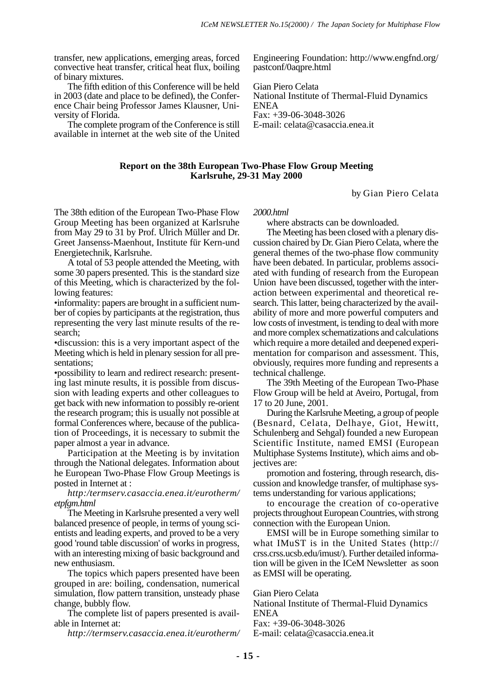transfer, new applications, emerging areas, forced convective heat transfer, critical heat flux, boiling of binary mixtures.

The fifth edition of this Conference will be held in 2003 (date and place to be defined), the Conference Chair being Professor James Klausner, University of Florida.

The complete program of the Conference is still available in internet at the web site of the United

Engineering Foundation: http://www.engfnd.org/ pastconf/0aqpre.html

Gian Piero Celata National Institute of Thermal-Fluid Dynamics ENEA Fax: +39-06-3048-3026 E-mail: celata@casaccia.enea.it

#### **Report on the 38th European Two-Phase Flow Group Meeting Karlsruhe, 29-31 May 2000**

by Gian Piero Celata

The 38th edition of the European Two-Phase Flow Group Meeting has been organized at Karlsruhe from May 29 to 31 by Prof. Ulrich Müller and Dr. Greet Jansenss-Maenhout, Institute für Kern-und Energietechnik, Karlsruhe.

A total of 53 people attended the Meeting, with some 30 papers presented. This is the standard size of this Meeting, which is characterized by the following features:

•informality: papers are brought in a sufficient number of copies by participants at the registration, thus representing the very last minute results of the research;

•discussion: this is a very important aspect of the Meeting which is held in plenary session for all presentations;

•possibility to learn and redirect research: presenting last minute results, it is possible from discussion with leading experts and other colleagues to get back with new information to possibly re-orient the research program; this is usually not possible at formal Conferences where, because of the publication of Proceedings, it is necessary to submit the paper almost a year in advance.

Participation at the Meeting is by invitation through the National delegates. Information about he European Two-Phase Flow Group Meetings is posted in Internet at :

#### *http:/termserv.casaccia.enea.it/eurotherm/ etpfgm.html*

The Meeting in Karlsruhe presented a very well balanced presence of people, in terms of young scientists and leading experts, and proved to be a very good 'round table discussion' of works in progress, with an interesting mixing of basic background and new enthusiasm.

The topics which papers presented have been grouped in are: boiling, condensation, numerical simulation, flow pattern transition, unsteady phase change, bubbly flow.

The complete list of papers presented is available in Internet at:

*http://termserv.casaccia.enea.it/eurotherm/*

*2000.html*

where abstracts can be downloaded.

The Meeting has been closed with a plenary discussion chaired by Dr. Gian Piero Celata, where the general themes of the two-phase flow community have been debated. In particular, problems associated with funding of research from the European Union have been discussed, together with the interaction between experimental and theoretical research. This latter, being characterized by the availability of more and more powerful computers and low costs of investment, is tending to deal with more and more complex schematizations and calculations which require a more detailed and deepened experimentation for comparison and assessment. This, obviously, requires more funding and represents a technical challenge.

The 39th Meeting of the European Two-Phase Flow Group will be held at Aveiro, Portugal, from 17 to 20 June, 2001.

During the Karlsruhe Meeting, a group of people (Besnard, Celata, Delhaye, Giot, Hewitt, Schulenberg and Sehgal) founded a new European Scientific Institute, named EMSI (European Multiphase Systems Institute), which aims and objectives are:

promotion and fostering, through research, discussion and knowledge transfer, of multiphase systems understanding for various applications;

to encourage the creation of co-operative projects throughout European Countries, with strong connection with the European Union.

EMSI will be in Europe something similar to what IMuST is in the United States (http:// crss.crss.ucsb.edu/imust/). Further detailed information will be given in the ICeM Newsletter as soon as EMSI will be operating.

Gian Piero Celata

National Institute of Thermal-Fluid Dynamics ENEA

Fax: +39-06-3048-3026

E-mail: celata@casaccia.enea.it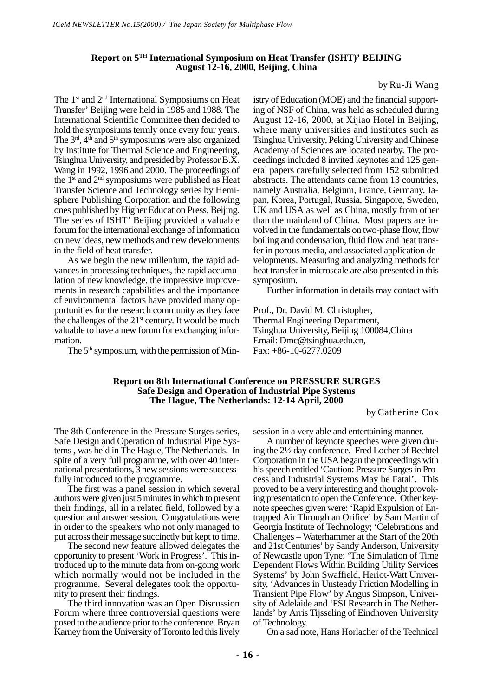#### **Report on 5TH International Symposium on Heat Transfer (ISHT)' BEIJING August 12-16, 2000, Beijing, China**

by Ru-Ji Wang

The 1<sup>st</sup> and 2<sup>nd</sup> International Symposiums on Heat Transfer' Beijing were held in 1985 and 1988. The International Scientific Committee then decided to hold the symposiums termly once every four years. The  $3<sup>rd</sup>$ ,  $4<sup>th</sup>$  and  $5<sup>th</sup>$  symposiums were also organized by Institute for Thermal Science and Engineering, Tsinghua University, and presided by Professor B.X. Wang in 1992, 1996 and 2000. The proceedings of the  $1<sup>st</sup>$  and  $2<sup>nd</sup>$  symposiums were published as Heat Transfer Science and Technology series by Hemisphere Publishing Corporation and the following ones published by Higher Education Press, Beijing. The series of ISHT' Beijing provided a valuable forum for the international exchange of information on new ideas, new methods and new developments in the field of heat transfer.

As we begin the new millenium, the rapid advances in processing techniques, the rapid accumulation of new knowledge, the impressive improvements in research capabilities and the importance of environmental factors have provided many opportunities for the research community as they face the challenges of the  $21<sup>st</sup>$  century. It would be much valuable to have a new forum for exchanging information.

The  $5<sup>th</sup>$  symposium, with the permission of Min-

istry of Education (MOE) and the financial supporting of NSF of China, was held as scheduled during August 12-16, 2000, at Xijiao Hotel in Beijing, where many universities and institutes such as Tsinghua University, Peking University and Chinese Academy of Sciences are located nearby. The proceedings included 8 invited keynotes and 125 general papers carefully selected from 152 submitted abstracts. The attendants came from 13 countries, namely Australia, Belgium, France, Germany, Japan, Korea, Portugal, Russia, Singapore, Sweden, UK and USA as well as China, mostly from other than the mainland of China. Most papers are involved in the fundamentals on two-phase flow, flow boiling and condensation, fluid flow and heat transfer in porous media, and associated application developments. Measuring and analyzing methods for heat transfer in microscale are also presented in this symposium.

Further information in details may contact with

Prof., Dr. David M. Christopher, Thermal Engineering Department, Tsinghua University, Beijing 100084,China Email: Dmc@tsinghua.edu.cn, Fax: +86-10-6277.0209

#### **Report on 8th International Conference on PRESSURE SURGES Safe Design and Operation of Industrial Pipe Systems The Hague, The Netherlands: 12-14 April, 2000**

by Catherine Cox

The 8th Conference in the Pressure Surges series, Safe Design and Operation of Industrial Pipe Systems , was held in The Hague, The Netherlands. In spite of a very full programme, with over 40 international presentations, 3 new sessions were successfully introduced to the programme.

The first was a panel session in which several authors were given just 5 minutes in which to present their findings, all in a related field, followed by a question and answer session. Congratulations were in order to the speakers who not only managed to put across their message succinctly but kept to time.

The second new feature allowed delegates the opportunity to present 'Work in Progress'. This introduced up to the minute data from on-going work which normally would not be included in the programme. Several delegates took the opportunity to present their findings.

The third innovation was an Open Discussion Forum where three controversial questions were posed to the audience prior to the conference. Bryan Karney from the University of Toronto led this lively

session in a very able and entertaining manner.

A number of keynote speeches were given during the 2½ day conference. Fred Locher of Bechtel Corporation in the USA began the proceedings with his speech entitled 'Caution: Pressure Surges in Process and Industrial Systems May be Fatal'. This proved to be a very interesting and thought provoking presentation to open the Conference. Other keynote speeches given were: 'Rapid Expulsion of Entrapped Air Through an Orifice' by Sam Martin of Georgia Institute of Technology; 'Celebrations and Challenges – Waterhammer at the Start of the 20th and 21st Centuries' by Sandy Anderson, University of Newcastle upon Tyne; 'The Simulation of Time Dependent Flows Within Building Utility Services Systems' by John Swaffield, Heriot-Watt University, 'Advances in Unsteady Friction Modelling in Transient Pipe Flow' by Angus Simpson, University of Adelaide and 'FSI Research in The Netherlands' by Arris Tijsseling of Eindhoven University of Technology.

On a sad note, Hans Horlacher of the Technical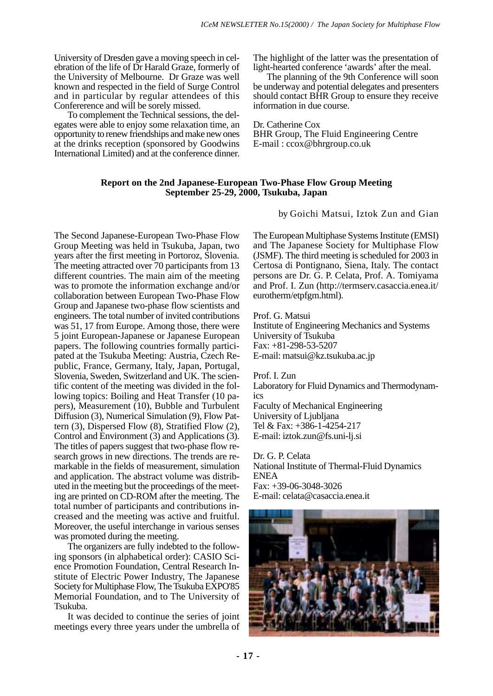University of Dresden gave a moving speech in celebration of the life of Dr Harald Graze, formerly of the University of Melbourne. Dr Graze was well known and respected in the field of Surge Control and in particular by regular attendees of this Confererence and will be sorely missed.

To complement the Technical sessions, the delegates were able to enjoy some relaxation time, an opportunity to renew friendships and make new ones at the drinks reception (sponsored by Goodwins International Limited) and at the conference dinner. The highlight of the latter was the presentation of light-hearted conference 'awards' after the meal.

The planning of the 9th Conference will soon be underway and potential delegates and presenters should contact BHR Group to ensure they receive information in due course.

Dr. Catherine Cox BHR Group, The Fluid Engineering Centre E-mail : ccox@bhrgroup.co.uk

#### **Report on the 2nd Japanese-European Two-Phase Flow Group Meeting September 25-29, 2000, Tsukuba, Japan**

by Goichi Matsui, Iztok Zun and Gian

The Second Japanese-European Two-Phase Flow Group Meeting was held in Tsukuba, Japan, two years after the first meeting in Portoroz, Slovenia. The meeting attracted over 70 participants from 13 different countries. The main aim of the meeting was to promote the information exchange and/or collaboration between European Two-Phase Flow Group and Japanese two-phase flow scientists and engineers. The total number of invited contributions was 51, 17 from Europe. Among those, there were 5 joint European-Japanese or Japanese European papers. The following countries formally participated at the Tsukuba Meeting: Austria, Czech Republic, France, Germany, Italy, Japan, Portugal, Slovenia, Sweden, Switzerland and UK. The scientific content of the meeting was divided in the following topics: Boiling and Heat Transfer (10 papers), Measurement (10), Bubble and Turbulent Diffusion (3), Numerical Simulation (9), Flow Pattern (3), Dispersed Flow (8), Stratified Flow (2), Control and Environment (3) and Applications (3). The titles of papers suggest that two-phase flow research grows in new directions. The trends are remarkable in the fields of measurement, simulation and application. The abstract volume was distributed in the meeting but the proceedings of the meeting are printed on CD-ROM after the meeting. The total number of participants and contributions increased and the meeting was active and fruitful. Moreover, the useful interchange in various senses was promoted during the meeting.

The organizers are fully indebted to the following sponsors (in alphabetical order): CASIO Science Promotion Foundation, Central Research Institute of Electric Power Industry, The Japanese Society for Multiphase Flow, The Tsukuba EXPO'85 Memorial Foundation, and to The University of Tsukuba.

It was decided to continue the series of joint meetings every three years under the umbrella of The European Multiphase Systems Institute (EMSI) and The Japanese Society for Multiphase Flow (JSMF). The third meeting is scheduled for 2003 in Certosa di Pontignano, Siena, Italy. The contact persons are Dr. G. P. Celata, Prof. A. Tomiyama and Prof. I. Zun (http://termserv.casaccia.enea.it/ eurotherm/etpfgm.html).

Prof. G. Matsui Institute of Engineering Mechanics and Systems University of Tsukuba Fax: +81-298-53-5207 E-mail: matsui@kz.tsukuba.ac.jp

Prof. I. Zun Laboratory for Fluid Dynamics and Thermodynamics Faculty of Mechanical Engineering University of Ljubljana Tel & Fax: +386-1-4254-217 E-mail: iztok.zun@fs.uni-lj.si

Dr. G. P. Celata National Institute of Thermal-Fluid Dynamics ENEA Fax: +39-06-3048-3026 E-mail: celata@casaccia.enea.it

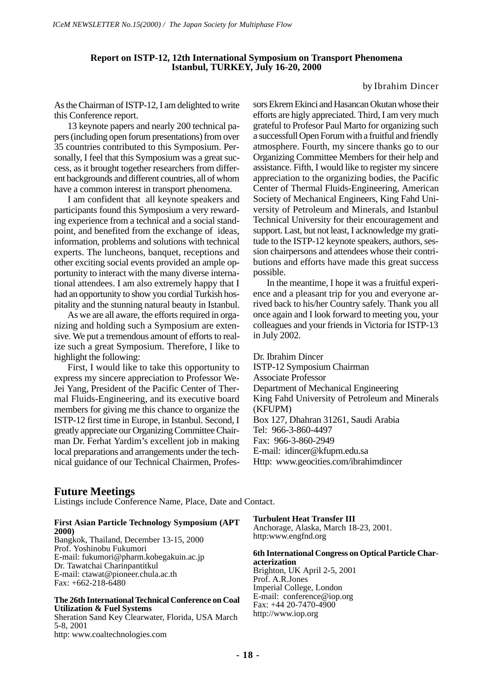#### **Report on ISTP-12, 12th International Symposium on Transport Phenomena Istanbul, TURKEY, July 16-20, 2000**

#### by Ibrahim Dincer

As the Chairman of ISTP-12, I am delighted to write this Conference report.

13 keynote papers and nearly 200 technical papers (including open forum presentations) from over 35 countries contributed to this Symposium. Personally, I feel that this Symposium was a great success, as it brought together researchers from different backgrounds and different countries, all of whom have a common interest in transport phenomena.

I am confident that all keynote speakers and participants found this Symposium a very rewarding experience from a technical and a social standpoint, and benefited from the exchange of ideas, information, problems and solutions with technical experts. The luncheons, banquet, receptions and other exciting social events provided an ample opportunity to interact with the many diverse international attendees. I am also extremely happy that I had an opportunity to show you cordial Turkish hospitality and the stunning natural beauty in Istanbul.

As we are all aware, the efforts required in organizing and holding such a Symposium are extensive. We put a tremendous amount of efforts to realize such a great Symposium. Therefore, I like to highlight the following:

First, I would like to take this opportunity to express my sincere appreciation to Professor We-Jei Yang, President of the Pacific Center of Thermal Fluids-Engineering, and its executive board members for giving me this chance to organize the ISTP-12 first time in Europe, in Istanbul. Second, I greatly appreciate our Organizing Committee Chairman Dr. Ferhat Yardim's excellent job in making local preparations and arrangements under the technical guidance of our Technical Chairmen, Professors Ekrem Ekinci and Hasancan Okutan whose their efforts are higly appreciated. Third, I am very much grateful to Profesor Paul Marto for organizing such a successfull Open Forum with a fruitful and friendly atmosphere. Fourth, my sincere thanks go to our Organizing Committee Members for their help and assistance. Fifth, I would like to register my sincere appreciation to the organizing bodies, the Pacific Center of Thermal Fluids-Engineering, American Society of Mechanical Engineers, King Fahd University of Petroleum and Minerals, and Istanbul Technical University for their encouragement and support. Last, but not least, I acknowledge my gratitude to the ISTP-12 keynote speakers, authors, session chairpersons and attendees whose their contributions and efforts have made this great success possible.

In the meantime, I hope it was a fruitful experience and a pleasant trip for you and everyone arrived back to his/her Country safely. Thank you all once again and I look forward to meeting you, your colleagues and your friends in Victoria for ISTP-13 in July 2002.

Dr. Ibrahim Dincer ISTP-12 Symposium Chairman Associate Professor Department of Mechanical Engineering King Fahd University of Petroleum and Minerals (KFUPM) Box 127, Dhahran 31261, Saudi Arabia Tel: 966-3-860-4497 Fax: 966-3-860-2949 E-mail: idincer@kfupm.edu.sa Http: www.geocities.com/ibrahimdincer

#### **Future Meetings**

Listings include Conference Name, Place, Date and Contact.

| <b>First Asian Particle Technology Symposium (APT)</b><br><b>2000)</b>                                                                                                                                      | <b>Turbulent Heat Transfer III</b><br>Anchorage, Alaska, March 18-23, 2001.<br>http:www.engfnd.org                                                   |
|-------------------------------------------------------------------------------------------------------------------------------------------------------------------------------------------------------------|------------------------------------------------------------------------------------------------------------------------------------------------------|
| Bangkok, Thailand, December 13-15, 2000<br>Prof. Yoshinobu Fukumori<br>E-mail: fukumori@pharm.kobegakuin.ac.jp<br>Dr. Tawatchai Charinpantitkul<br>E-mail: ctawat@pioneer.chula.ac.th<br>Fax: +662-218-6480 | 6th International Congress on Optical Particle Char-<br>acterization<br>Brighton, UK April 2-5, 2001<br>Prof. A.R. Jones<br>Imperial College, London |
| The 26th International Technical Conference on Coal<br><b>Utilization &amp; Fuel Systems</b><br>Sheration Sand Key Clearwater, Florida, USA March<br>5-8, 2001<br>http: www.coaltechnologies.com            | E-mail: $conference@ion.org$<br>Fax: $+44$ 20-7470-4900<br>http://www.iop.org                                                                        |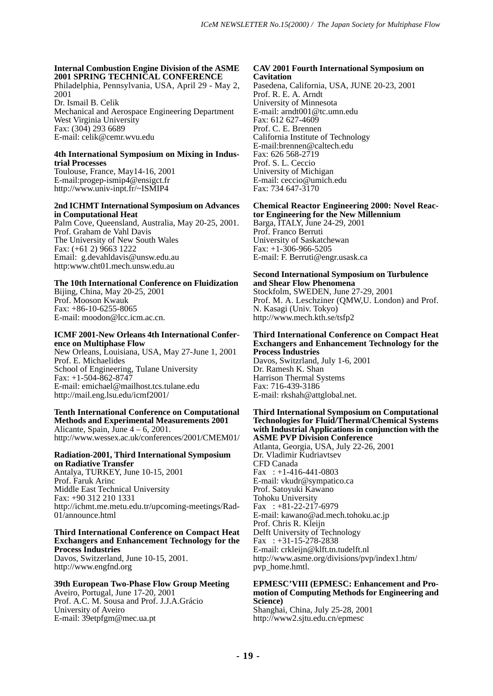#### **Internal Combustion Engine Division of the ASME 2001 SPRING TECHNICAL CONFERENCE**

Philadelphia, Pennsylvania, USA, April 29 - May 2, 2001 Dr. Ismail B. Celik

Mechanical and Aerospace Engineering Department West Virginia University Fax: (304) 293 6689 E-mail: celik@cemr.wvu.edu

#### **4th International Symposium on Mixing in Industrial Processes**

Toulouse, France, May14-16, 2001 E-mail:progep-ismip4@ensigct.fr http://www.univ-inpt.fr/~ISMIP4

#### **2nd ICHMT International Symposium on Advances in Computational Heat**

Palm Cove, Queensland, Australia, May 20-25, 2001. Prof. Graham de Vahl Davis The University of New South Wales Fax: (+61 2) 9663 1222 Email: g.devahldavis@unsw.edu.au http:www.cht01.mech.unsw.edu.au

## **The 10th International Conference on Fluidization**

Bijing, China, May 20-25, 2001 Prof. Mooson Kwauk Fax: +86-10-6255-8065 E-mail: moodon@lcc.icm.ac.cn.

#### **ICMF 2001-New Orleans 4th International Conference on Multiphase Flow**

New Orleans, Louisiana, USA, May 27-June 1, 2001 Prof. E. Michaelides School of Engineering, Tulane University Fax: +1-504-862-8747 E-mail: emichael@mailhost.tcs.tulane.edu http://mail.eng.lsu.edu/icmf2001/

#### **Tenth International Conference on Computational Methods and Experimental Measurements 2001** Alicante, Spain, June  $4 - 6$ , 2001.

http://www.wessex.ac.uk/conferences/2001/CMEM01/

#### **Radiation-2001, Third International Symposium on Radiative Transfer**

Antalya, TURKEY, June 10-15, 2001 Prof. Faruk Arinc Middle East Technical University Fax: +90 312 210 1331 http://ichmt.me.metu.edu.tr/upcoming-meetings/Rad-01/announce.html

#### **Third International Conference on Compact Heat Exchangers and Enhancement Technology for the Process Industries**

Davos, Switzerland, June 10-15, 2001. http://www.engfnd.org

#### **39th European Two-Phase Flow Group Meeting** Aveiro, Portugal, June 17-20, 2001 Prof. A.C. M. Sousa and Prof. J.J.A.Grácio University of Aveiro E-mail: 39etpfgm@mec.ua.pt

#### **CAV 2001 Fourth International Symposium on Cavitation**

Pasedena, California, USA, JUNE 20-23, 2001 Prof. R. E. A. Arndt University of Minnesota E-mail: arndt001@tc.umn.edu Fax: 612 627-4609 Prof. C. E. Brennen California Institute of Technology E-mail:brennen@caltech.edu Fax: 626 568-2719 Prof. S. L. Ceccio University of Michigan E-mail: ceccio@umich.edu Fax: 734 647-3170

#### **Chemical Reactor Engineering 2000: Novel Reactor Engineering for the New Millennium**

Barga, ITALY, June 24-29, 2001 Prof. Franco Berruti University of Saskatchewan Fax:  $+1-306-966-5205$ E-mail: F. Berruti@engr.usask.ca

#### **Second International Symposium on Turbulence and Shear Flow Phenomena** Stockfolm, SWEDEN, June 27-29, 2001 Prof. M. A. Leschziner (QMW,U. London) and Prof. N. Kasagi (Univ. Tokyo) http://www.mech.kth.se/tsfp2

#### **Third International Conference on Compact Heat Exchangers and Enhancement Technology for the Process Industries**

Davos, Switzrland, July 1-6, 2001 Dr. Ramesh K. Shan Harrison Thermal Systems Fax: 716-439-3186 E-mail: rkshah@attglobal.net.

#### **Third International Symposium on Computational Technologies for Fluid/Thermal/Chemical Systems with Industrial Applications in conjunction with the ASME PVP Division Conference**

Atlanta, Georgia, USA, July 22-26, 2001 Dr. Vladimir Kudriavtsev CFD Canada Fax :  $+1-416-441-0803$ E-mail: vkudr@sympatico.ca Prof. Satoyuki Kawano Tohoku University Fax :  $+81-22-217-6979$ E-mail: kawano@ad.mech.tohoku.ac.jp Prof. Chris R. Kleijn Delft University of Technology Fax :  $+31-15-278-2838$ E-mail: crkleijn@klft.tn.tudelft.nl http://www.asme.org/divisions/pvp/index1.htm/ pvp\_home.hmtl.

#### **EPMESC'VIII (EPMESC: Enhancement and Promotion of Computing Methods for Engineering and Science)**

Shanghai, China, July 25-28, 2001 http://www2.sjtu.edu.cn/epmesc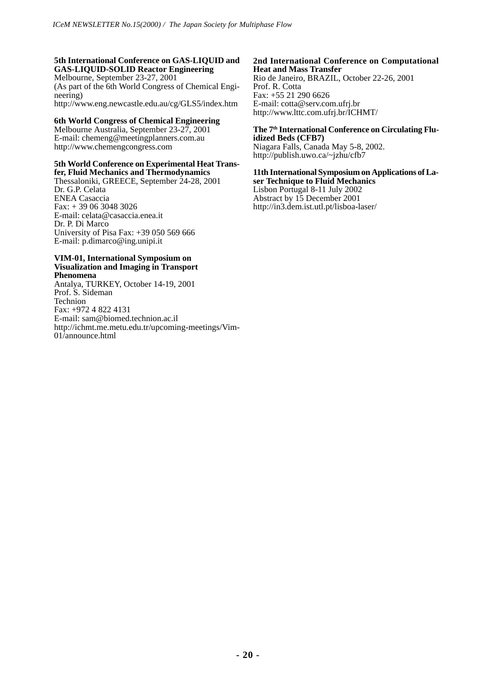#### **5th International Conference on GAS-LIQUID and GAS-LIQUID-SOLID Reactor Engineering**

Melbourne, September 23-27, 2001 (As part of the 6th World Congress of Chemical Engineering) http://www.eng.newcastle.edu.au/cg/GLS5/index.htm

#### **6th World Congress of Chemical Engineering**

Melbourne Australia, September 23-27, 2001 E-mail: chemeng@meetingplanners.com.au http://www.chemengcongress.com

## **5th World Conference on Experimental Heat Trans-**

**fer, Fluid Mechanics and Thermodynamics** Thessaloniki, GREECE, September 24-28, 2001 Dr. G.P. Celata ENEA Casaccia Fax: + 39 06 3048 3026 E-mail: celata@casaccia.enea.it Dr. P. Di Marco University of Pisa Fax: +39 050 569 666 E-mail: p.dimarco@ing.unipi.it

#### **VIM-01, International Symposium on Visualization and Imaging in Transport Phenomena**

Antalya, TURKEY, October 14-19, 2001 Prof. S. Sideman Technion Fax: +972 4 822 4131 E-mail: sam@biomed.technion.ac.il http://ichmt.me.metu.edu.tr/upcoming-meetings/Vim-01/announce.html

#### **2nd International Conference on Computational Heat and Mass Transfer**

Rio de Janeiro, BRAZIL, October 22-26, 2001 Prof. R. Cotta Fax: +55 21 290 6626 E-mail: cotta@serv.com.ufrj.br http://www.lttc.com.ufrj.br/ICHMT/

#### The 7<sup>th</sup> International Conference on Circulating Flu**idized Beds (CFB7)**

Niagara Falls, Canada May 5-8, 2002. http://publish.uwo.ca/~jzhu/cfb7

#### **11th International Symposium on Applications of Laser Technique to Fluid Mechanics**

Lisbon Portugal 8-11 July 2002 Abstract by 15 December 2001 http://in3.dem.ist.utl.pt/lisboa-laser/